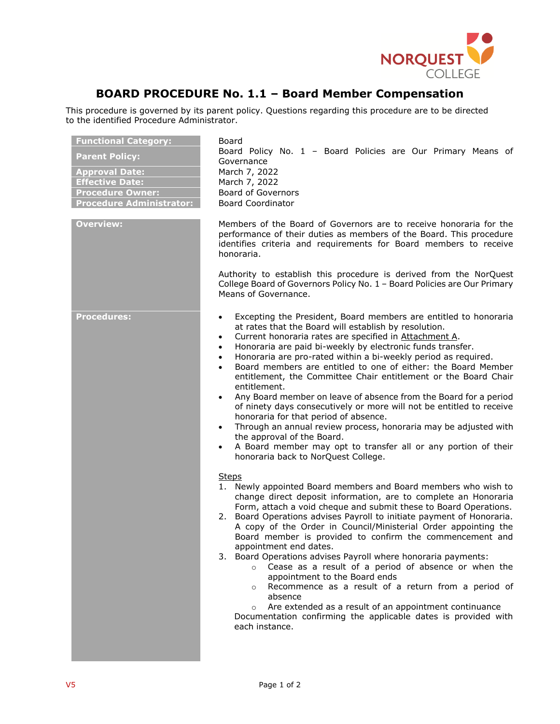

## **BOARD PROCEDURE No. 1.1 – Board Member Compensation**

This procedure is governed by its parent policy. Questions regarding this procedure are to be directed to the identified Procedure Administrator.

| <b>Functional Category:</b><br><b>Parent Policy:</b><br><b>Approval Date:</b><br><b>Effective Date:</b><br><b>Procedure Owner:</b><br><b>Procedure Administrator:</b><br><b>Overview:</b> | Board<br>Board Policy No. 1 - Board Policies are Our Primary Means of<br>Governance<br>March 7, 2022<br>March 7, 2022<br><b>Board of Governors</b><br><b>Board Coordinator</b><br>Members of the Board of Governors are to receive honoraria for the<br>performance of their duties as members of the Board. This procedure<br>identifies criteria and requirements for Board members to receive<br>honoraria.<br>Authority to establish this procedure is derived from the NorQuest<br>College Board of Governors Policy No. 1 - Board Policies are Our Primary<br>Means of Governance.                                                                                                                                                                                                                                                                                                                                                                                        |
|-------------------------------------------------------------------------------------------------------------------------------------------------------------------------------------------|---------------------------------------------------------------------------------------------------------------------------------------------------------------------------------------------------------------------------------------------------------------------------------------------------------------------------------------------------------------------------------------------------------------------------------------------------------------------------------------------------------------------------------------------------------------------------------------------------------------------------------------------------------------------------------------------------------------------------------------------------------------------------------------------------------------------------------------------------------------------------------------------------------------------------------------------------------------------------------|
| <b>Procedures:</b>                                                                                                                                                                        | Excepting the President, Board members are entitled to honoraria<br>$\bullet$<br>at rates that the Board will establish by resolution.<br>Current honoraria rates are specified in Attachment A.<br>$\bullet$<br>Honoraria are paid bi-weekly by electronic funds transfer.<br>$\bullet$<br>Honoraria are pro-rated within a bi-weekly period as required.<br>$\bullet$<br>Board members are entitled to one of either: the Board Member<br>$\bullet$<br>entitlement, the Committee Chair entitlement or the Board Chair<br>entitlement.<br>Any Board member on leave of absence from the Board for a period<br>$\bullet$<br>of ninety days consecutively or more will not be entitled to receive<br>honoraria for that period of absence.<br>Through an annual review process, honoraria may be adjusted with<br>$\bullet$<br>the approval of the Board.<br>A Board member may opt to transfer all or any portion of their<br>$\bullet$<br>honoraria back to NorQuest College. |
|                                                                                                                                                                                           | <b>Steps</b><br>1. Newly appointed Board members and Board members who wish to<br>change direct deposit information, are to complete an Honoraria<br>Form, attach a void cheque and submit these to Board Operations.<br>2. Board Operations advises Payroll to initiate payment of Honoraria.<br>A copy of the Order in Council/Ministerial Order appointing the<br>Board member is provided to confirm the commencement and<br>appointment end dates.<br>3. Board Operations advises Payroll where honoraria payments:<br>Cease as a result of a period of absence or when the<br>$\circ$<br>appointment to the Board ends<br>Recommence as a result of a return from a period of<br>$\circ$<br>absence<br>Are extended as a result of an appointment continuance<br>$\circ$<br>Documentation confirming the applicable dates is provided with<br>each instance.                                                                                                              |